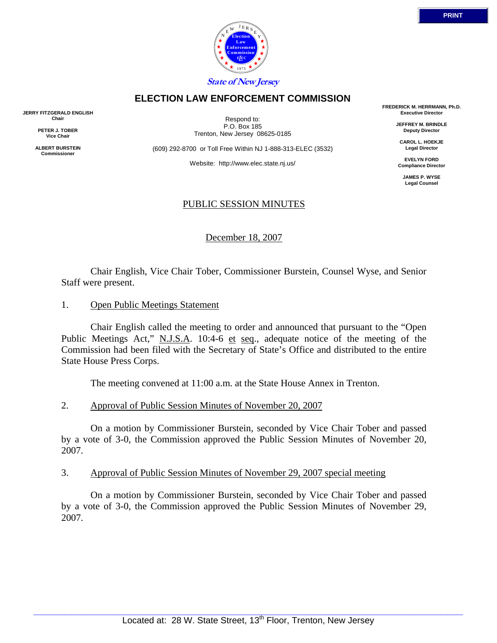

 Chair English, Vice Chair Tober, Commissioner Burstein, Counsel Wyse, and Senior Staff were present.

1. Open Public Meetings Statement

**JERRY FITZGERALD ENGLISH Chair PETER J. TOBER Vice Chair ALBERT BURSTEIN Commissioner** 

> Chair English called the meeting to order and announced that pursuant to the "Open Public Meetings Act," N.J.S.A. 10:4-6 et seq., adequate notice of the meeting of the Commission had been filed with the Secretary of State's Office and distributed to the entire State House Press Corps.

The meeting convened at 11:00 a.m. at the State House Annex in Trenton.

## 2. Approval of Public Session Minutes of November 20, 2007

 On a motion by Commissioner Burstein, seconded by Vice Chair Tober and passed by a vote of 3-0, the Commission approved the Public Session Minutes of November 20, 2007.

## 3. Approval of Public Session Minutes of November 29, 2007 special meeting

 On a motion by Commissioner Burstein, seconded by Vice Chair Tober and passed by a vote of 3-0, the Commission approved the Public Session Minutes of November 29, 2007.

*L* 1973 **State of New Jersey**

**Law**

## **ELECTION LAW ENFORCEMENT COMMISSION**

Respond to: P.O. Box 185 Trenton, New Jersey 08625-0185

(609) 292-8700 or Toll Free Within NJ 1-888-313-ELEC (3532)

Website: http://www.elec.state.nj.us/

# PUBLIC SESSION MINUTES

December 18, 2007

**FREDERICK M. HERRMANN, Ph.D. Executive Director** 

> **JEFFREY M. BRINDLE Deputy Director**

**CAROL L. HOEKJE Legal Director** 

**EVELYN FORD Compliance Director** 

**JAMES P. WYSE Legal Counsel**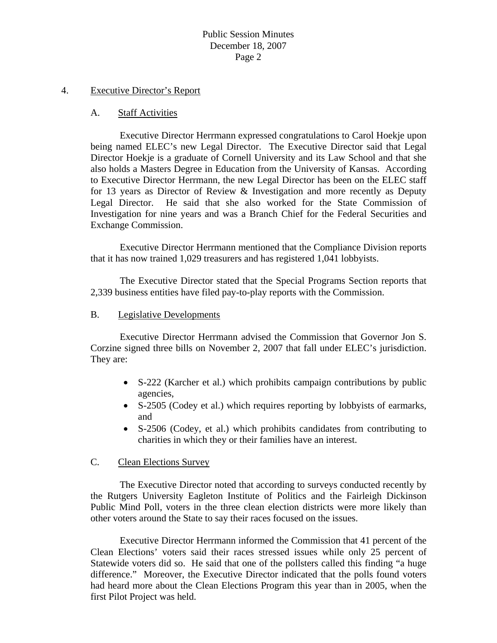# Public Session Minutes December 18, 2007 Page 2

#### 4. Executive Director's Report

#### A. Staff Activities

 Executive Director Herrmann expressed congratulations to Carol Hoekje upon being named ELEC's new Legal Director. The Executive Director said that Legal Director Hoekje is a graduate of Cornell University and its Law School and that she also holds a Masters Degree in Education from the University of Kansas. According to Executive Director Herrmann, the new Legal Director has been on the ELEC staff for 13 years as Director of Review & Investigation and more recently as Deputy Legal Director. He said that she also worked for the State Commission of Investigation for nine years and was a Branch Chief for the Federal Securities and Exchange Commission.

 Executive Director Herrmann mentioned that the Compliance Division reports that it has now trained 1,029 treasurers and has registered 1,041 lobbyists.

 The Executive Director stated that the Special Programs Section reports that 2,339 business entities have filed pay-to-play reports with the Commission.

#### B. Legislative Developments

 Executive Director Herrmann advised the Commission that Governor Jon S. Corzine signed three bills on November 2, 2007 that fall under ELEC's jurisdiction. They are:

- S-222 (Karcher et al.) which prohibits campaign contributions by public agencies,
- S-2505 (Codey et al.) which requires reporting by lobbyists of earmarks, and
- S-2506 (Codey, et al.) which prohibits candidates from contributing to charities in which they or their families have an interest.

#### C. Clean Elections Survey

 The Executive Director noted that according to surveys conducted recently by the Rutgers University Eagleton Institute of Politics and the Fairleigh Dickinson Public Mind Poll, voters in the three clean election districts were more likely than other voters around the State to say their races focused on the issues.

 Executive Director Herrmann informed the Commission that 41 percent of the Clean Elections' voters said their races stressed issues while only 25 percent of Statewide voters did so. He said that one of the pollsters called this finding "a huge difference." Moreover, the Executive Director indicated that the polls found voters had heard more about the Clean Elections Program this year than in 2005, when the first Pilot Project was held.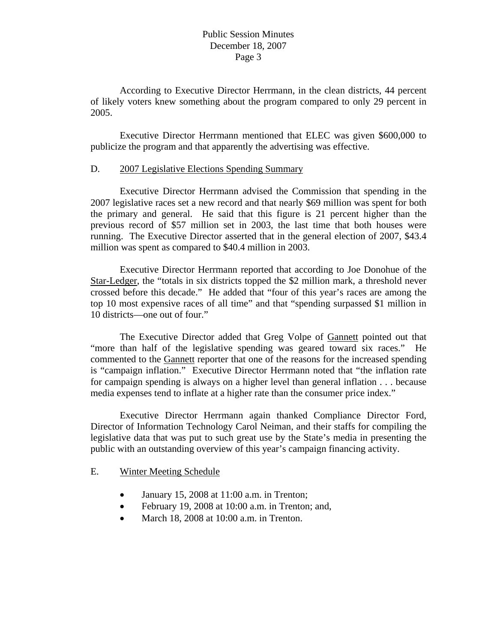## Public Session Minutes December 18, 2007 Page 3

 According to Executive Director Herrmann, in the clean districts, 44 percent of likely voters knew something about the program compared to only 29 percent in 2005.

 Executive Director Herrmann mentioned that ELEC was given \$600,000 to publicize the program and that apparently the advertising was effective.

## D. 2007 Legislative Elections Spending Summary

 Executive Director Herrmann advised the Commission that spending in the 2007 legislative races set a new record and that nearly \$69 million was spent for both the primary and general. He said that this figure is 21 percent higher than the previous record of \$57 million set in 2003, the last time that both houses were running. The Executive Director asserted that in the general election of 2007, \$43.4 million was spent as compared to \$40.4 million in 2003.

 Executive Director Herrmann reported that according to Joe Donohue of the Star-Ledger, the "totals in six districts topped the \$2 million mark, a threshold never crossed before this decade." He added that "four of this year's races are among the top 10 most expensive races of all time" and that "spending surpassed \$1 million in 10 districts—one out of four."

 The Executive Director added that Greg Volpe of Gannett pointed out that "more than half of the legislative spending was geared toward six races." He commented to the Gannett reporter that one of the reasons for the increased spending is "campaign inflation." Executive Director Herrmann noted that "the inflation rate for campaign spending is always on a higher level than general inflation . . . because media expenses tend to inflate at a higher rate than the consumer price index."

 Executive Director Herrmann again thanked Compliance Director Ford, Director of Information Technology Carol Neiman, and their staffs for compiling the legislative data that was put to such great use by the State's media in presenting the public with an outstanding overview of this year's campaign financing activity.

# E. Winter Meeting Schedule

- January 15, 2008 at 11:00 a.m. in Trenton;
- February 19, 2008 at 10:00 a.m. in Trenton; and,
- March 18, 2008 at 10:00 a.m. in Trenton.